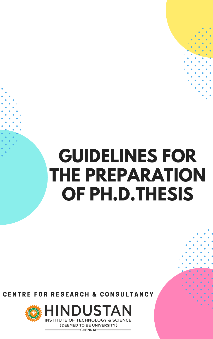# **GUIDELINES FOR THE PREPARATION OF PH.D.THESIS**

## CENTRE FOR RESEARCH & CONSULTANCY



HINDUSTAN **INSTITUTE OF TECHNOLOGY & SCIENCE** 

> (DEEMED TO BE UNIVERSITY) - CHENNAI-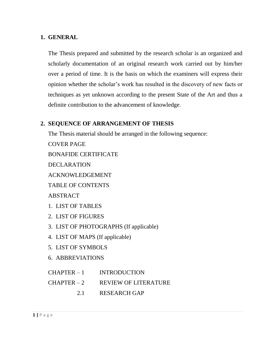#### **1. GENERAL**

The Thesis prepared and submitted by the research scholar is an organized and scholarly documentation of an original research work carried out by him/her over a period of time. It is the basis on which the examiners will express their opinion whether the scholar's work has resulted in the discovery of new facts or techniques as yet unknown according to the present State of the Art and thus a definite contribution to the advancement of knowledge.

#### **2. SEQUENCE OF ARRANGEMENT OF THESIS**

The Thesis material should be arranged in the following sequence: COVER PAGE BONAFIDE CERTIFICATE DECLARATION ACKNOWLEDGEMENT TABLE OF CONTENTS ABSTRACT 1. LIST OF TABLES 2. LIST OF FIGURES 3. LIST OF PHOTOGRAPHS (If applicable) 4. LIST OF MAPS (If applicable) 5. LIST OF SYMBOLS 6. ABBREVIATIONS CHAPTER – 1 INTRODUCTION

- CHAPTER 2 REVIEW OF LITERATURE
	- 2.1 RESEARCH GAP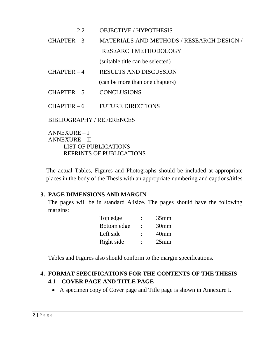#### 2.2 OBJECTIVE / HYPOTHESIS

### CHAPTER – 3 MATERIALS AND METHODS / RESEARCH DESIGN / RESEARCH METHODOLOGY

(suitable title can be selected)

CHAPTER – 4 RESULTS AND DISCUSSION

(can be more than one chapters)

- $CHAPTER 5$  CONCLUSIONS
- $CHAPTER 6$  FUTURE DIRECTIONS

BIBLIOGRAPHY / REFERENCES

ANNEXURE – I ANNEXURE – II LIST OF PUBLICATIONS REPRINTS OF PUBLICATIONS

The actual Tables, Figures and Photographs should be included at appropriate places in the body of the Thesis with an appropriate numbering and captions/titles

#### **3. PAGE DIMENSIONS AND MARGIN**

The pages will be in standard A4size. The pages should have the following margins:

| Top edge    | $35$ mm          |
|-------------|------------------|
| Bottom edge | 30 <sub>mm</sub> |
| Left side   | 40 <sub>mm</sub> |
| Right side  | $25$ mm          |

Tables and Figures also should conform to the margin specifications.

#### **4. FORMAT SPECIFICATIONS FOR THE CONTENTS OF THE THESIS 4.1 COVER PAGE AND TITLE PAGE**

A specimen copy of Cover page and Title page is shown in Annexure I.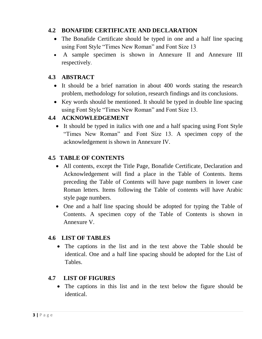#### **4.2 BONAFIDE CERTIFICATE AND DECLARATION**

- The Bonafide Certificate should be typed in one and a half line spacing using Font Style "Times New Roman" and Font Size 13
- A sample specimen is shown in Annexure II and Annexure III respectively.

#### **4.3 ABSTRACT**

- It should be a brief narration in about 400 words stating the research problem, methodology for solution, research findings and its conclusions.
- Key words should be mentioned. It should be typed in double line spacing using Font Style "Times New Roman" and Font Size 13.

#### **4.4 ACKNOWLEDGEMENT**

• It should be typed in italics with one and a half spacing using Font Style "Times New Roman" and Font Size 13. A specimen copy of the acknowledgement is shown in Annexure IV.

#### **4.5 TABLE OF CONTENTS**

- All contents, except the Title Page, Bonafide Certificate, Declaration and Acknowledgement will find a place in the Table of Contents. Items preceding the Table of Contents will have page numbers in lower case Roman letters. Items following the Table of contents will have Arabic style page numbers.
- One and a half line spacing should be adopted for typing the Table of Contents. A specimen copy of the Table of Contents is shown in Annexure V.

#### **4.6 LIST OF TABLES**

 The captions in the list and in the text above the Table should be identical. One and a half line spacing should be adopted for the List of Tables.

#### **4.7 LIST OF FIGURES**

 The captions in this list and in the text below the figure should be identical.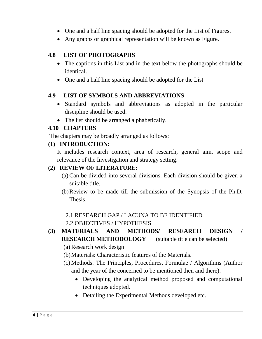- One and a half line spacing should be adopted for the List of Figures.
- Any graphs or graphical representation will be known as Figure.

#### **4.8 LIST OF PHOTOGRAPHS**

- The captions in this List and in the text below the photographs should be identical.
- One and a half line spacing should be adopted for the List

#### **4.9 LIST OF SYMBOLS AND ABBREVIATIONS**

- Standard symbols and abbreviations as adopted in the particular discipline should be used.
- The list should be arranged alphabetically.

#### **4.10 CHAPTERS**

The chapters may be broadly arranged as follows:

#### **(1) INTRODUCTION:**

It includes research context, area of research, general aim, scope and relevance of the Investigation and strategy setting.

#### **(2) REVIEW OF LITERATURE:**

- (a) Can be divided into several divisions. Each division should be given a suitable title.
- (b)Review to be made till the submission of the Synopsis of the Ph.D. Thesis.

#### 2.1 RESEARCH GAP / LACUNA TO BE IDENTIFIED

#### 2.2 OBJECTIVES / HYPOTHESIS

#### **(3) MATERIALS AND METHODS/ RESEARCH DESIGN / RESEARCH METHODOLOGY** (suitable title can be selected)

- (a) Research work design
- (b)Materials: Characteristic features of the Materials.
- (c) Methods: The Principles, Procedures, Formulae / Algorithms (Author and the year of the concerned to be mentioned then and there).
	- Developing the analytical method proposed and computational techniques adopted.
	- Detailing the Experimental Methods developed etc.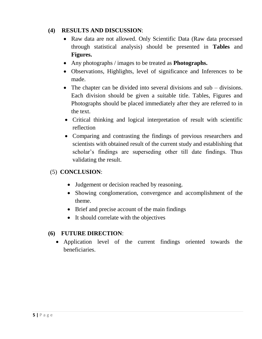#### **(4) RESULTS AND DISCUSSION**:

- Raw data are not allowed. Only Scientific Data (Raw data processed) through statistical analysis) should be presented in **Tables** and **Figures.**
- Any photographs / images to be treated as **Photographs.**
- Observations, Highlights, level of significance and Inferences to be made.
- The chapter can be divided into several divisions and sub divisions. Each division should be given a suitable title. Tables, Figures and Photographs should be placed immediately after they are referred to in the text.
- Critical thinking and logical interpretation of result with scientific reflection
- Comparing and contrasting the findings of previous researchers and scientists with obtained result of the current study and establishing that scholar's findings are superseding other till date findings. Thus validating the result.

#### (5) **CONCLUSION**:

- Judgement or decision reached by reasoning.
- Showing conglomeration, convergence and accomplishment of the theme.
- Brief and precise account of the main findings
- It should correlate with the objectives

#### **(6) FUTURE DIRECTION**:

 Application level of the current findings oriented towards the beneficiaries.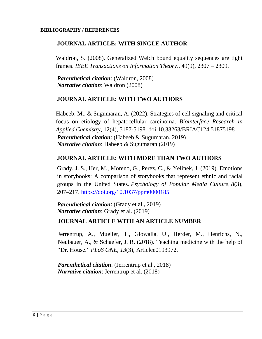#### **BIBLIOGRAPHY / REFERENCES**

#### **JOURNAL ARTICLE: WITH SINGLE AUTHOR**

Waldron, S. (2008). Generalized Welch bound equality sequences are tight frames. *IEEE Transactions on Information Theory*., 49(9), 2307 – 2309.

*Parenthetical citation*: (Waldron, 2008) *Narrative citation*: Waldron (2008)

#### **JOURNAL ARTICLE: WITH TWO AUTHORS**

Habeeb, M., & Sugumaran, A. (2022). Strategies of cell signaling and critical focus on etiology of hepatocellular carcinoma. *Biointerface Research in Applied Chemistry*, 12(4), 5187-5198. doi:10.33263/BRIAC124.51875198 *Parenthetical citation*: (Habeeb & Sugumaran, 2019) *Narrative citation*: Habeeb & Sugumaran (2019)

#### **JOURNAL ARTICLE: WITH MORE THAN TWO AUTHORS**

Grady, J. S., Her, M., Moreno, G., Perez, C., & Yelinek, J. (2019). Emotions in storybooks: A comparison of storybooks that represent ethnic and racial groups in the United States. *Psychology of Popular Media Culture*, *8*(3), 207–217. <https://doi.org/10.1037/ppm0000185>

*Parenthetical citation*: (Grady et al., 2019) *Narrative citation*: Grady et al. (2019)

#### **JOURNAL ARTICLE WITH AN ARTICLE NUMBER**

Jerrentrup, A., Mueller, T., Glowalla, U., Herder, M., Henrichs, N., Neubauer, A., & Schaefer, J. R. (2018). Teaching medicine with the help of "Dr. House." *PLoS ONE*, *13*(3), Articlee0193972.

*Parenthetical citation*: (Jerrentrup et al., 2018) *Narrative citation*: Jerrentrup et al. (2018)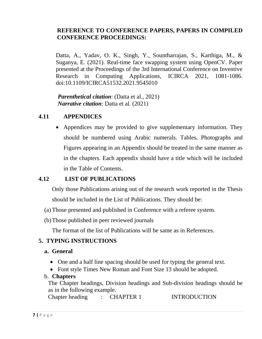#### **REFERENCE TO CONFERENCE PAPERS, PAPERS IN COMPILED CONFERENCE PROCEEDINGS:**

Datta, A., Yadav, O. K., Singh, Y., Sountharrajan, S., Karthiga, M., & Suganya, E. (2021). Real-time face swapping system using OpenCV. Paper presented at the Proceedings of the 3rd International Conference on Inventive Research in Computing Applications, ICIRCA 2021, 1081-1086. doi:10.1109/ICIRCA51532.2021.9545010

*Parenthetical citation*: (Datta et al., 2021) *Narrative citation*: Datta et al. (2021)

#### **4.11 APPENDICES**

• Appendices may be provided to give supplementary information. They should be numbered using Arabic numerals. Tables, Photographs and Figures appearing in an Appendix should be treated in the same manner as in the chapters. Each appendix should have a title which will be included in the Table of Contents.

#### **4.12 LIST OF PUBLICATIONS**

Only those Publications arising out of the research work reported in the Thesis should be included in the List of Publications. They should be:

- (a) Those presented and published in Conference with a referee system.
- (b)Those published in peer reviewed journals

The format of the list of Publications will be same as in References.

#### **5. TYPING INSTRUCTIONS**

#### **a. General**

- One and a half line spacing should be used for typing the general text.
- Font style Times New Roman and Font Size 13 should be adopted.

#### b. **Chapters**

The Chapter headings, Division headings and Sub-division headings should be as in the following example.

Chapter heading : CHAPTER 1 INTRODUCTION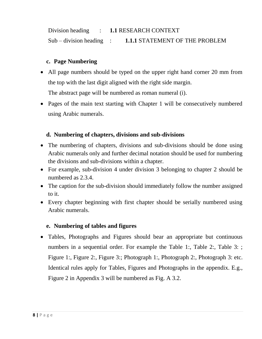Division heading : **1.1** RESEARCH CONTEXT Sub – division heading : **1.1.1** STATEMENT OF THE PROBLEM

#### **c. Page Numbering**

- All page numbers should be typed on the upper right hand corner 20 mm from the top with the last digit aligned with the right side margin. The abstract page will be numbered as roman numeral (i).
- Pages of the main text starting with Chapter 1 will be consecutively numbered using Arabic numerals.

#### **d. Numbering of chapters, divisions and sub-divisions**

- The numbering of chapters, divisions and sub-divisions should be done using Arabic numerals only and further decimal notation should be used for numbering the divisions and sub-divisions within a chapter.
- For example, sub-division 4 under division 3 belonging to chapter 2 should be numbered as 2.3.4.
- The caption for the sub-division should immediately follow the number assigned to it.
- Every chapter beginning with first chapter should be serially numbered using Arabic numerals.

#### **e. Numbering of tables and figures**

 Tables, Photographs and Figures should bear an appropriate but continuous numbers in a sequential order. For example the Table 1:, Table 2:, Table 3: ; Figure 1:, Figure 2:, Figure 3:; Photograph 1:, Photograph 2:, Photograph 3: etc. Identical rules apply for Tables, Figures and Photographs in the appendix. E.g., Figure 2 in Appendix 3 will be numbered as Fig. A 3.2.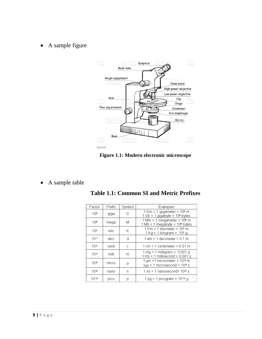• A sample figure



**Figure 1.1: Modern electronic microscope**

• A sample table

| Factor          | Prefix | Symbol | Examples                                                                                                            |  |
|-----------------|--------|--------|---------------------------------------------------------------------------------------------------------------------|--|
| 109             | giga   | G      | $1$ Gm = 1 gigameter = $109$ m<br>1 Gb = 1 gigabyte = 10 <sup>9</sup> bytes                                         |  |
| 106             | mega   | М      | $1 \text{ Mm} = 1 \text{ megameter} = 10^6 \text{ m}$<br>1 Mb = 1 megabyte = 10 <sup>6</sup> bytes                  |  |
| 10 <sup>3</sup> | kilo   | Κ      | $1$ Km = 1 kilometer = $103$ m<br>$1$ Kg = 1 kilogram = $103$ g                                                     |  |
| $10-1$          | deci   | d      | $1 \text{ dm} = 1 \text{ decimeter} = 0.1 \text{ m}$                                                                |  |
| $10-2$          | centi  | C      | $1 \text{ cm} = 1 \text{ centimeter} = 0.01 \text{ m}$                                                              |  |
| $10-3$          | milli  | m      | $1 \text{ mg} = 1 \text{ milligram} = 0.001 \text{ g}$<br>$1 \text{ ms} = 1 \text{ milliseconds} = 0.001 \text{ s}$ |  |
| $10 - 6$        | micro  | μ      | $1 \mu m = 1$ micrometer = $10^{-6}$ m<br>$1\mu s = 1$ microsecond = $106 s$                                        |  |
| $10 - 9$        | nano   | n      | 1 ns = 1 nanosecond= $10-9$ s                                                                                       |  |
| $10 - 12$       | pico   | p      | $1$ pg = 1 picogram = $10^{-12}$ g                                                                                  |  |

**Table 1.1: Common SI and Metric Prefixes**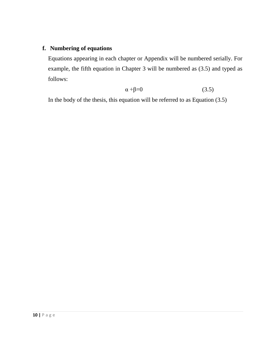#### **f. Numbering of equations**

Equations appearing in each chapter or Appendix will be numbered serially. For example, the fifth equation in Chapter 3 will be numbered as (3.5) and typed as follows:

$$
\alpha + \beta = 0 \tag{3.5}
$$

In the body of the thesis, this equation will be referred to as Equation (3.5)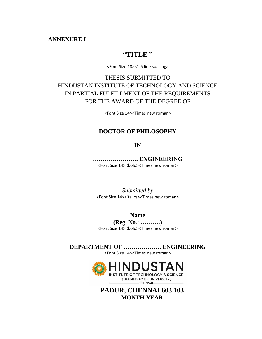#### **ANNEXURE I**

#### **"TITLE "**

<Font Size 18><1.5 line spacing>

#### THESIS SUBMITTED TO HINDUSTAN INSTITUTE OF TECHNOLOGY AND SCIENCE IN PARTIAL FULFILLMENT OF THE REQUIREMENTS FOR THE AWARD OF THE DEGREE OF

<Font Size 14><Times new roman>

#### **DOCTOR OF PHILOSOPHY**

**IN**

**………………….. ENGINEERING** <Font Size 14><br/>bold><Times new roman>

*Submitted by* <Font Size 14><italics><Times new roman>

**Name**

**(Reg. No.: ……….)** <Font Size 14><bold><Times new roman>

**DEPARTMENT OF ………………. ENGINEERING** <Font Size 14><Times new roman>



**PADUR, CHENNAI 603 103 MONTH YEAR**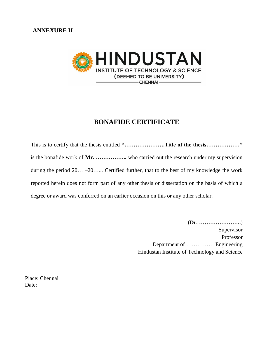

#### **BONAFIDE CERTIFICATE**

This is to certify that the thesis entitled "......................Title of the thesis........................" is the bonafide work of **Mr. ……………..** who carried out the research under my supervision during the period 20… –20…... Certified further, that to the best of my knowledge the work reported herein does not form part of any other thesis or dissertation on the basis of which a degree or award was conferred on an earlier occasion on this or any other scholar.

> (**Dr. …………………..**) Supervisor Professor Department of …………… Engineering Hindustan Institute of Technology and Science

Place: Chennai Date: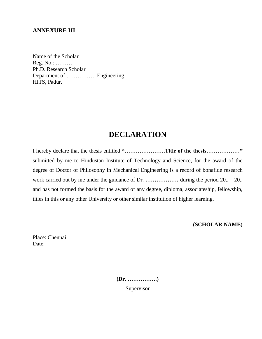#### **ANNEXURE III**

Name of the Scholar Reg. No.: ……… Ph.D. Research Scholar Department of ……………. Engineering HITS, Padur.

#### **DECLARATION**

I hereby declare that the thesis entitled **"………………….Title of the thesis………………"** submitted by me to Hindustan Institute of Technology and Science, for the award of the degree of Doctor of Philosophy in Mechanical Engineering is a record of bonafide research work carried out by me under the guidance of Dr. **.................** during the period 20.. – 20.. and has not formed the basis for the award of any degree, diploma, associateship, fellowship, titles in this or any other University or other similar institution of higher learning.

**(SCHOLAR NAME)**

Place: Chennai Date:

**(Dr. …………….)**

Supervisor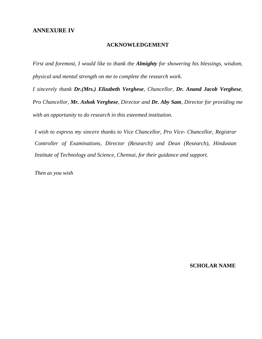#### **ANNEXURE IV**

#### **ACKNOWLEDGEMENT**

*First and foremost, I would like to thank the Almighty for showering his blessings, wisdom, physical and mental strength on me to complete the research work.* 

*I sincerely thank Dr.(Mrs.) Elizabeth Verghese, Chancellor, Dr. Anand Jacob Verghese, Pro Chancellor, Mr. Ashok Verghese, Director and Dr. Aby Sam, Director for providing me with an opportunity to do research in this esteemed institution.*

*I wish to express my sincere thanks to Vice Chancellor, Pro Vice- Chancellor, Registrar Controller of Examinations, Director (Research) and Dean (Research), Hindustan Institute of Technology and Science, Chennai, for their guidance and support.*

*Then as you wish*

 **SCHOLAR NAME**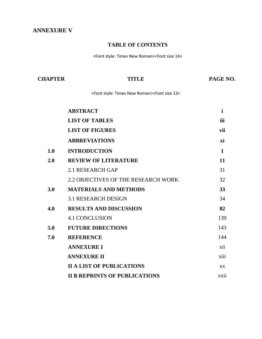#### **ANNEXURE V**

#### **TABLE OF CONTENTS**

<Font style: Times New Roman><Font size 14>

| <b>CHAPTER</b> | TITLE                                                                       | PAGE NO.     |
|----------------|-----------------------------------------------------------------------------|--------------|
|                | <font new="" roman="" style:="" times=""><font 13="" size=""></font></font> |              |
|                | <b>ABSTRACT</b>                                                             | $\mathbf{i}$ |
|                | <b>LIST OF TABLES</b>                                                       | iii          |
|                | <b>LIST OF FIGURES</b>                                                      | vii          |
|                | <b>ABBREVIATIONS</b>                                                        | xi           |
| 1.0            | <b>INTRODUCTION</b>                                                         | $\mathbf{1}$ |
| 2.0            | <b>REVIEW OF LITERATURE</b>                                                 | 11           |
|                | <b>2.1 RESEARCH GAP</b>                                                     | 31           |
|                | 2.2 OBJECTIVES OF THE RESEARCH WORK                                         | 32           |
| 3.0            | <b>MATERIALS AND METHODS</b>                                                | 33           |
|                | <b>3.1 RESEARCH DESIGN</b>                                                  | 34           |
| 4.0            | <b>RESULTS AND DISCUSSION</b>                                               | 82           |
|                | <b>4.1 CONCLUSION</b>                                                       | 139          |
| 5.0            | <b>FUTURE DIRECTIONS</b>                                                    | 143          |
| 7.0            | <b>REFERENCE</b>                                                            | 144          |
|                | <b>ANNEXURE I</b>                                                           | xii          |
|                | <b>ANNEXURE II</b>                                                          | xiii         |
|                | <b>II A LIST OF PUBLICATIONS</b>                                            | XX           |
|                | <b>II B REPRINTS OF PUBLICATIONS</b>                                        | xxii         |